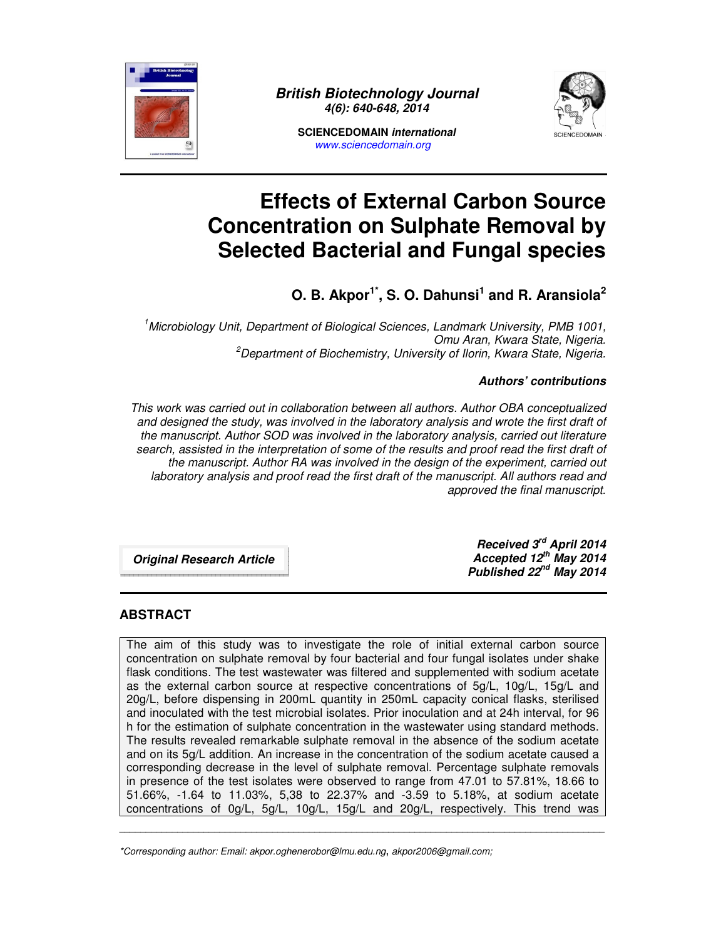

**British Biotechnology Journal 4(6): 640-648, 2014** 





# **Effects of External Carbon Source Concentration on Sulphate Removal by Selected Bacterial and Fungal species**

**O. B. Akpor1\*, S. O. Dahunsi<sup>1</sup> and R. Aransiola<sup>2</sup>**

*<sup>1</sup>Microbiology Unit, Department of Biological Sciences, Landmark University, PMB 1001, Omu Aran, Kwara State, Nigeria. <sup>2</sup>Department of Biochemistry, University of Ilorin, Kwara State, Nigeria.* 

## **Authors' contributions**

*This work was carried out in collaboration between all authors. Author OBA conceptualized and designed the study, was involved in the laboratory analysis and wrote the first draft of the manuscript. Author SOD was involved in the laboratory analysis, carried out literature search, assisted in the interpretation of some of the results and proof read the first draft of the manuscript. Author RA was involved in the design of the experiment, carried out*  laboratory analysis and proof read the first draft of the manuscript. All authors read and *approved the final manuscript.* 

**Original Research Article**

**Received 3rd April 2014 Accepted 12th May 2014 Published 22nd May 2014**

## **ABSTRACT**

The aim of this study was to investigate the role of initial external carbon source concentration on sulphate removal by four bacterial and four fungal isolates under shake flask conditions. The test wastewater was filtered and supplemented with sodium acetate as the external carbon source at respective concentrations of 5g/L, 10g/L, 15g/L and 20g/L, before dispensing in 200mL quantity in 250mL capacity conical flasks, sterilised and inoculated with the test microbial isolates. Prior inoculation and at 24h interval, for 96 h for the estimation of sulphate concentration in the wastewater using standard methods. The results revealed remarkable sulphate removal in the absence of the sodium acetate and on its 5g/L addition. An increase in the concentration of the sodium acetate caused a corresponding decrease in the level of sulphate removal. Percentage sulphate removals in presence of the test isolates were observed to range from 47.01 to 57.81%, 18.66 to 51.66%, -1.64 to 11.03%, 5,38 to 22.37% and -3.59 to 5.18%, at sodium acetate concentrations of 0g/L, 5g/L, 10g/L, 15g/L and 20g/L, respectively. This trend was

\_\_\_\_\_\_\_\_\_\_\_\_\_\_\_\_\_\_\_\_\_\_\_\_\_\_\_\_\_\_\_\_\_\_\_\_\_\_\_\_\_\_\_\_\_\_\_\_\_\_\_\_\_\_\_\_\_\_\_\_\_\_\_\_\_\_\_\_\_\_\_\_\_\_\_\_\_\_\_\_\_\_\_\_\_\_\_\_\_\_\_\_

*<sup>\*</sup>Corresponding author: Email: akpor.oghenerobor@lmu.edu.ng*, *akpor2006@gmail.com;*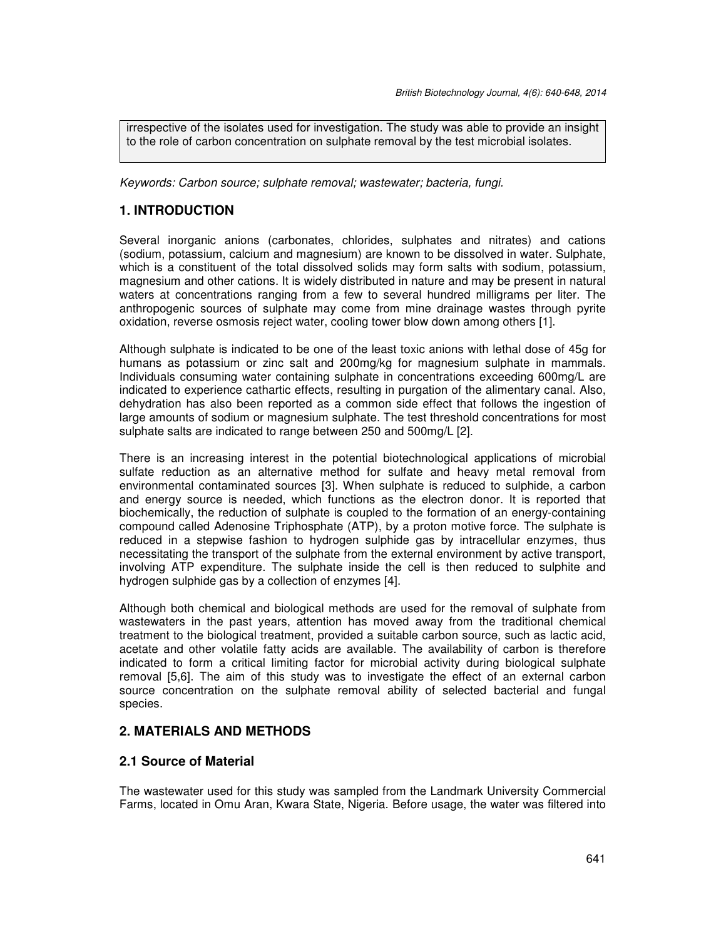irrespective of the isolates used for investigation. The study was able to provide an insight to the role of carbon concentration on sulphate removal by the test microbial isolates.

*Keywords: Carbon source; sulphate removal; wastewater; bacteria, fungi.* 

# **1. INTRODUCTION**

Several inorganic anions (carbonates, chlorides, sulphates and nitrates) and cations (sodium, potassium, calcium and magnesium) are known to be dissolved in water. Sulphate, which is a constituent of the total dissolved solids may form salts with sodium, potassium, magnesium and other cations. It is widely distributed in nature and may be present in natural waters at concentrations ranging from a few to several hundred milligrams per liter. The anthropogenic sources of sulphate may come from mine drainage wastes through pyrite oxidation, reverse osmosis reject water, cooling tower blow down among others [1].

Although sulphate is indicated to be one of the least toxic anions with lethal dose of 45g for humans as potassium or zinc salt and 200mg/kg for magnesium sulphate in mammals. Individuals consuming water containing sulphate in concentrations exceeding 600mg/L are indicated to experience cathartic effects, resulting in purgation of the alimentary canal. Also, dehydration has also been reported as a common side effect that follows the ingestion of large amounts of sodium or magnesium sulphate. The test threshold concentrations for most sulphate salts are indicated to range between 250 and 500mg/L [2].

There is an increasing interest in the potential biotechnological applications of microbial sulfate reduction as an alternative method for sulfate and heavy metal removal from environmental contaminated sources [3]. When sulphate is reduced to sulphide, a carbon and energy source is needed, which functions as the electron donor. It is reported that biochemically, the reduction of sulphate is coupled to the formation of an energy-containing compound called Adenosine Triphosphate (ATP), by a proton motive force. The sulphate is reduced in a stepwise fashion to hydrogen sulphide gas by intracellular enzymes, thus necessitating the transport of the sulphate from the external environment by active transport, involving ATP expenditure. The sulphate inside the cell is then reduced to sulphite and hydrogen sulphide gas by a collection of enzymes [4].

Although both chemical and biological methods are used for the removal of sulphate from wastewaters in the past years, attention has moved away from the traditional chemical treatment to the biological treatment, provided a suitable carbon source, such as lactic acid, acetate and other volatile fatty acids are available. The availability of carbon is therefore indicated to form a critical limiting factor for microbial activity during biological sulphate removal [5,6]. The aim of this study was to investigate the effect of an external carbon source concentration on the sulphate removal ability of selected bacterial and fungal species.

# **2. MATERIALS AND METHODS**

## **2.1 Source of Material**

The wastewater used for this study was sampled from the Landmark University Commercial Farms, located in Omu Aran, Kwara State, Nigeria. Before usage, the water was filtered into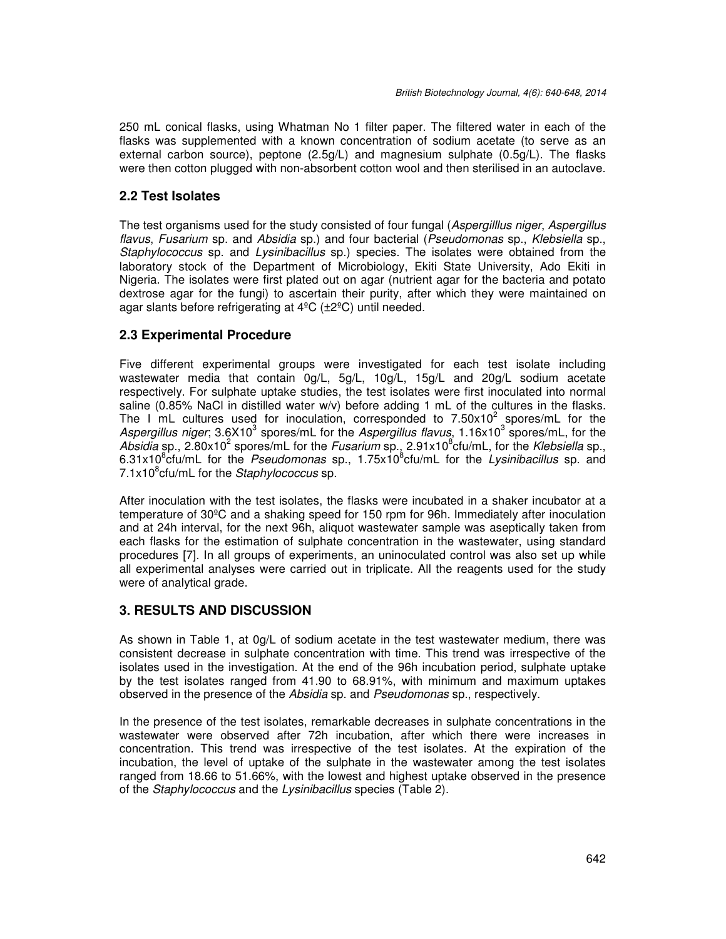250 mL conical flasks, using Whatman No 1 filter paper. The filtered water in each of the flasks was supplemented with a known concentration of sodium acetate (to serve as an external carbon source), peptone (2.5g/L) and magnesium sulphate (0.5g/L). The flasks were then cotton plugged with non-absorbent cotton wool and then sterilised in an autoclave.

# **2.2 Test Isolates**

The test organisms used for the study consisted of four fungal (*Aspergilllus niger*, *Aspergillus flavus*, *Fusarium* sp. and *Absidia* sp.) and four bacterial (*Pseudomonas* sp., *Klebsiella* sp., *Staphylococcus* sp. and *Lysinibacillus* sp.) species. The isolates were obtained from the laboratory stock of the Department of Microbiology, Ekiti State University, Ado Ekiti in Nigeria. The isolates were first plated out on agar (nutrient agar for the bacteria and potato dextrose agar for the fungi) to ascertain their purity, after which they were maintained on agar slants before refrigerating at 4ºC (±2ºC) until needed.

# **2.3 Experimental Procedure**

Five different experimental groups were investigated for each test isolate including wastewater media that contain 0g/L, 5g/L, 10g/L, 15g/L and 20g/L sodium acetate respectively. For sulphate uptake studies, the test isolates were first inoculated into normal saline (0.85% NaCl in distilled water w/v) before adding 1 mL of the cultures in the flasks. The I mL cultures used for inoculation, corresponded to  $7.50 \times 10^2$  spores/mL for the Aspergillus niger; 3.6X10<sup>3</sup> spores/mL for the Aspergillus flavus, 1.16x10<sup>3</sup> spores/mL, for the Absidia sp., 2.80x10<sup>2</sup> spores/mL for the *Fusarium* sp., 2.91x10<sup>8</sup>cfu/mL, for the *Klebsiella* sp., 6.31x10<sup>8</sup>cfu/mL for the *Pseudomonas* sp., 1.75x10<sup>8</sup>cfu/mL for the *Lysinibacillus* sp. and 7.1x10<sup>8</sup> cfu/mL for the *Staphylococcus* sp.

After inoculation with the test isolates, the flasks were incubated in a shaker incubator at a temperature of 30ºC and a shaking speed for 150 rpm for 96h. Immediately after inoculation and at 24h interval, for the next 96h, aliquot wastewater sample was aseptically taken from each flasks for the estimation of sulphate concentration in the wastewater, using standard procedures [7]. In all groups of experiments, an uninoculated control was also set up while all experimental analyses were carried out in triplicate. All the reagents used for the study were of analytical grade.

## **3. RESULTS AND DISCUSSION**

As shown in Table 1, at 0g/L of sodium acetate in the test wastewater medium, there was consistent decrease in sulphate concentration with time. This trend was irrespective of the isolates used in the investigation. At the end of the 96h incubation period, sulphate uptake by the test isolates ranged from 41.90 to 68.91%, with minimum and maximum uptakes observed in the presence of the *Absidia* sp. and *Pseudomonas* sp., respectively.

In the presence of the test isolates, remarkable decreases in sulphate concentrations in the wastewater were observed after 72h incubation, after which there were increases in concentration. This trend was irrespective of the test isolates. At the expiration of the incubation, the level of uptake of the sulphate in the wastewater among the test isolates ranged from 18.66 to 51.66%, with the lowest and highest uptake observed in the presence of the *Staphylococcus* and the *Lysinibacillus* species (Table 2).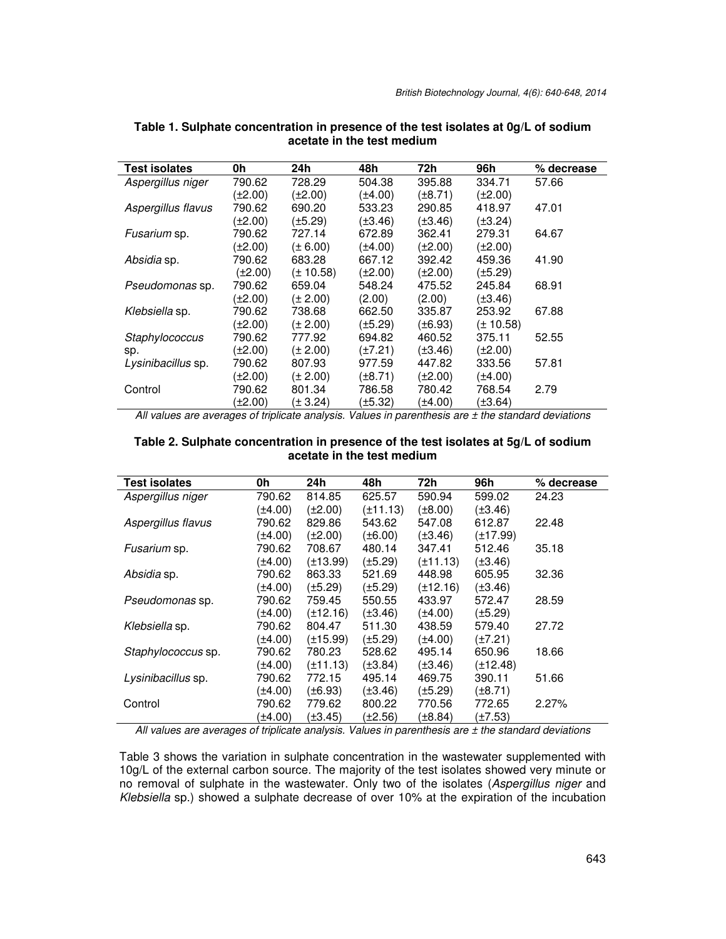| <b>Test isolates</b> | 0h      | 24h           | 48h          | 72h          | 96h           | % decrease |
|----------------------|---------|---------------|--------------|--------------|---------------|------------|
| Aspergillus niger    | 790.62  | 728.29        | 504.38       | 395.88       | 334.71        | 57.66      |
|                      | (±2.00) | $(\pm 2.00)$  | (±4.00)      | $(\pm 8.71)$ | $(\pm 2.00)$  |            |
| Aspergillus flavus   | 790.62  | 690.20        | 533.23       | 290.85       | 418.97        | 47.01      |
|                      | (±2.00) | (±5.29)       | (±3.46)      | $(\pm 3.46)$ | $(\pm 3.24)$  |            |
| Fusarium sp.         | 790.62  | 727.14        | 672.89       | 362.41       | 279.31        | 64.67      |
|                      | (±2.00) | $(\pm 6.00)$  | (±4.00)      | (±2.00)      | $(\pm 2.00)$  |            |
| Absidia sp.          | 790.62  | 683.28        | 667.12       | 392.42       | 459.36        | 41.90      |
|                      | (±2.00) | $(\pm 10.58)$ | $(\pm 2.00)$ | (±2.00)      | $(\pm 5.29)$  |            |
| Pseudomonas sp.      | 790.62  | 659.04        | 548.24       | 475.52       | 245.84        | 68.91      |
|                      | (±2.00) | $(\pm 2.00)$  | (2.00)       | (2.00)       | $(\pm 3.46)$  |            |
| Klebsiella sp.       | 790.62  | 738.68        | 662.50       | 335.87       | 253.92        | 67.88      |
|                      | (±2.00) | $(\pm 2.00)$  | (±5.29)      | $(\pm 6.93)$ | $(\pm 10.58)$ |            |
| Staphylococcus       | 790.62  | 777.92        | 694.82       | 460.52       | 375.11        | 52.55      |
| sp.                  | (±2.00) | (± 2.00)      | (±7.21)      | (±3.46)      | $(\pm 2.00)$  |            |
| Lysinibacillus sp.   | 790.62  | 807.93        | 977.59       | 447.82       | 333.56        | 57.81      |
|                      | (±2.00) | (± 2.00)      | (±8.71)      | (±2.00)      | (±4.00)       |            |
| Control              | 790.62  | 801.34        | 786.58       | 780.42       | 768.54        | 2.79       |
|                      | (±2.00) | $(\pm 3.24)$  | (±5.32)      | ±4.00)       | (±3.64)       |            |

**Table 1. Sulphate concentration in presence of the test isolates at 0g/L of sodium acetate in the test medium** 

*All values are averages of triplicate analysis. Values in parenthesis are ± the standard deviations*

#### **Table 2. Sulphate concentration in presence of the test isolates at 5g/L of sodium acetate in the test medium**

| <b>Test isolates</b> | 0h           | 24h           | 48h          | 72h          | 96h           | % decrease |
|----------------------|--------------|---------------|--------------|--------------|---------------|------------|
| Aspergillus niger    | 790.62       | 814.85        | 625.57       | 590.94       | 599.02        | 24.23      |
|                      | (±4.00)      | $(\pm 2.00)$  | (±11.13)     | $(\pm 8.00)$ | $(\pm 3.46)$  |            |
| Aspergillus flavus   | 790.62       | 829.86        | 543.62       | 547.08       | 612.87        | 22.48      |
|                      | (±4.00)      | $(\pm 2.00)$  | $(\pm 6.00)$ | $(\pm 3.46)$ | $(\pm 17.99)$ |            |
| Fusarium sp.         | 790.62       | 708.67        | 480.14       | 347.41       | 512.46        | 35.18      |
|                      | (±4.00)      | $(\pm 13.99)$ | $(\pm 5.29)$ | (±11.13)     | $(\pm 3.46)$  |            |
| Absidia sp.          | 790.62       | 863.33        | 521.69       | 448.98       | 605.95        | 32.36      |
|                      | (±4.00)      | $(\pm 5.29)$  | (±5.29)      | (±12.16)     | $(\pm 3.46)$  |            |
| Pseudomonas sp.      | 790.62       | 759.45        | 550.55       | 433.97       | 572.47        | 28.59      |
|                      | $(\pm 4.00)$ | $(\pm 12.16)$ | $(\pm 3.46)$ | $(\pm 4.00)$ | $(\pm 5.29)$  |            |
| Klebsiella sp.       | 790.62       | 804.47        | 511.30       | 438.59       | 579.40        | 27.72      |
|                      | (±4.00)      | $(\pm 15.99)$ | $(\pm 5.29)$ | $(\pm 4.00)$ | $(\pm 7.21)$  |            |
| Staphylococcus sp.   | 790.62       | 780.23        | 528.62       | 495.14       | 650.96        | 18.66      |
|                      | (±4.00)      | $(\pm 11.13)$ | $(\pm 3.84)$ | (±3.46)      | $(\pm 12.48)$ |            |
| Lysinibacillus sp.   | 790.62       | 772.15        | 495.14       | 469.75       | 390.11        | 51.66      |
|                      | (±4.00)      | $(\pm 6.93)$  | $(\pm 3.46)$ | (±5.29)      | $(\pm 8.71)$  |            |
| Control              | 790.62       | 779.62        | 800.22       | 770.56       | 772.65        | 2.27%      |
|                      | (±4.00)      | (±3.45)       | (±2.56)      | (±8.84)      | (±7.53)       |            |

*All values are averages of triplicate analysis. Values in parenthesis are ± the standard deviations* 

Table 3 shows the variation in sulphate concentration in the wastewater supplemented with 10g/L of the external carbon source. The majority of the test isolates showed very minute or no removal of sulphate in the wastewater. Only two of the isolates (*Aspergillus niger* and *Klebsiella* sp.) showed a sulphate decrease of over 10% at the expiration of the incubation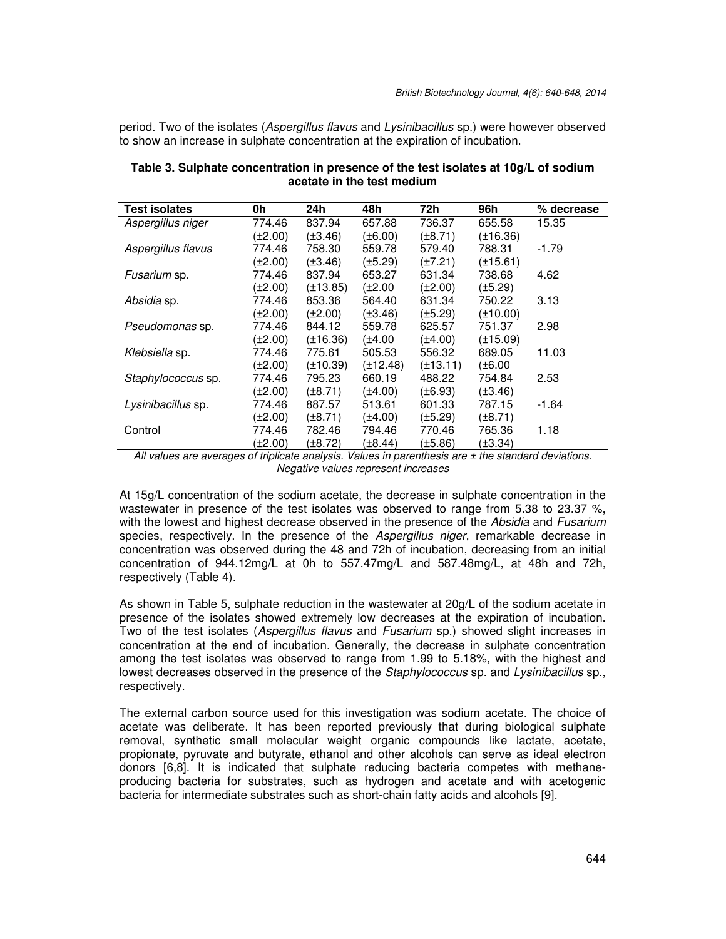period. Two of the isolates (*Aspergillus flavus* and *Lysinibacillus* sp.) were however observed to show an increase in sulphate concentration at the expiration of incubation.

| Test isolates      | 0h           | 24h           | 48h           | 72h           | 96h           | % decrease |
|--------------------|--------------|---------------|---------------|---------------|---------------|------------|
| Aspergillus niger  | 774.46       | 837.94        | 657.88        | 736.37        | 655.58        | 15.35      |
|                    | (±2.00)      | $(\pm 3.46)$  | (±6.00)       | $(\pm 8.71)$  | $(\pm 16.36)$ |            |
| Aspergillus flavus | 774.46       | 758.30        | 559.78        | 579.40        | 788.31        | -1.79      |
|                    | (±2.00)      | $(\pm 3.46)$  | (±5.29)       | $(\pm 7.21)$  | $(\pm 15.61)$ |            |
| Fusarium sp.       | 774.46       | 837.94        | 653.27        | 631.34        | 738.68        | 4.62       |
|                    | $(\pm 2.00)$ | $(\pm 13.85)$ | (±2.00        | $(\pm 2.00)$  | $(\pm 5.29)$  |            |
| Absidia sp.        | 774.46       | 853.36        | 564.40        | 631.34        | 750.22        | 3.13       |
|                    | (±2.00)      | $(\pm 2.00)$  | (±3.46)       | $(\pm 5.29)$  | $(\pm 10.00)$ |            |
| Pseudomonas sp.    | 774.46       | 844.12        | 559.78        | 625.57        | 751.37        | 2.98       |
|                    | (±2.00)      | $(\pm 16.36)$ | (±4.00        | $(\pm 4.00)$  | $(\pm 15.09)$ |            |
| Klebsiella sp.     | 774.46       | 775.61        | 505.53        | 556.32        | 689.05        | 11.03      |
|                    | $(\pm 2.00)$ | $(\pm 10.39)$ | $(\pm 12.48)$ | $(\pm 13.11)$ | $(\pm 6.00)$  |            |
| Staphylococcus sp. | 774.46       | 795.23        | 660.19        | 488.22        | 754.84        | 2.53       |
|                    | (±2.00)      | $(\pm 8.71)$  | (±4.00)       | $(\pm 6.93)$  | $(\pm 3.46)$  |            |
| Lysinibacillus sp. | 774.46       | 887.57        | 513.61        | 601.33        | 787.15        | -1.64      |
|                    | (±2.00)      | $(\pm 8.71)$  | (±4.00)       | $(\pm 5.29)$  | $(\pm 8.71)$  |            |
| Control            | 774.46       | 782.46        | 794.46        | 770.46        | 765.36        | 1.18       |
|                    | $(\pm 2.00)$ | (±8.72)       | (±8.44        | (±5.86)       | (±3.34)       |            |

**Table 3. Sulphate concentration in presence of the test isolates at 10g/L of sodium acetate in the test medium** 

*All values are averages of triplicate analysis. Values in parenthesis are ± the standard deviations. Negative values represent increases* 

At 15g/L concentration of the sodium acetate, the decrease in sulphate concentration in the wastewater in presence of the test isolates was observed to range from 5.38 to 23.37 %, with the lowest and highest decrease observed in the presence of the *Absidia* and *Fusarium*  species, respectively. In the presence of the *Aspergillus niger*, remarkable decrease in concentration was observed during the 48 and 72h of incubation, decreasing from an initial concentration of 944.12mg/L at 0h to 557.47mg/L and 587.48mg/L, at 48h and 72h, respectively (Table 4).

As shown in Table 5, sulphate reduction in the wastewater at 20g/L of the sodium acetate in presence of the isolates showed extremely low decreases at the expiration of incubation. Two of the test isolates (*Aspergillus flavus* and *Fusarium* sp.) showed slight increases in concentration at the end of incubation. Generally, the decrease in sulphate concentration among the test isolates was observed to range from 1.99 to 5.18%, with the highest and lowest decreases observed in the presence of the *Staphylococcus* sp*.* and *Lysinibacillus* sp., respectively.

The external carbon source used for this investigation was sodium acetate. The choice of acetate was deliberate. It has been reported previously that during biological sulphate removal, synthetic small molecular weight organic compounds like lactate, acetate, propionate, pyruvate and butyrate, ethanol and other alcohols can serve as ideal electron donors [6,8]. It is indicated that sulphate reducing bacteria competes with methaneproducing bacteria for substrates, such as hydrogen and acetate and with acetogenic bacteria for intermediate substrates such as short-chain fatty acids and alcohols [9].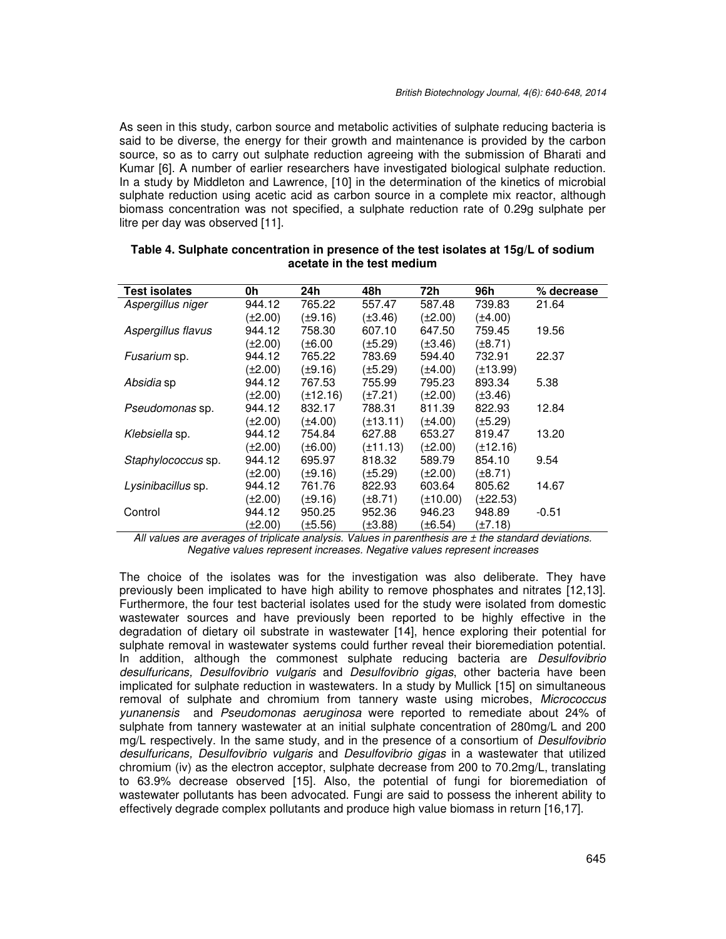As seen in this study, carbon source and metabolic activities of sulphate reducing bacteria is said to be diverse, the energy for their growth and maintenance is provided by the carbon source, so as to carry out sulphate reduction agreeing with the submission of Bharati and Kumar [6]. A number of earlier researchers have investigated biological sulphate reduction. In a study by Middleton and Lawrence, [10] in the determination of the kinetics of microbial sulphate reduction using acetic acid as carbon source in a complete mix reactor, although biomass concentration was not specified, a sulphate reduction rate of 0.29g sulphate per litre per day was observed [11].

| <b>Test isolates</b> | 0h      | 24h           | 48h          | 72h          | 96h           | % decrease |
|----------------------|---------|---------------|--------------|--------------|---------------|------------|
| Aspergillus niger    | 944.12  | 765.22        | 557.47       | 587.48       | 739.83        | 21.64      |
|                      | (±2.00) | (±9.16)       | $(\pm 3.46)$ | (±2.00)      | $(\pm 4.00)$  |            |
| Aspergillus flavus   | 944.12  | 758.30        | 607.10       | 647.50       | 759.45        | 19.56      |
|                      | (±2.00) | (±6.00        | (±5.29)      | $(\pm 3.46)$ | $(\pm 8.71)$  |            |
| Fusarium sp.         | 944.12  | 765.22        | 783.69       | 594.40       | 732.91        | 22.37      |
|                      | (±2.00) | (±9.16)       | (±5.29)      | (±4.00)      | $(\pm 13.99)$ |            |
| Absidia sp           | 944.12  | 767.53        | 755.99       | 795.23       | 893.34        | 5.38       |
|                      | (±2.00) | $(\pm 12.16)$ | $(\pm 7.21)$ | $(\pm 2.00)$ | $(\pm 3.46)$  |            |
| Pseudomonas sp.      | 944.12  | 832.17        | 788.31       | 811.39       | 822.93        | 12.84      |
|                      | (±2.00) | (±4.00)       | (±13.11)     | (±4.00)      | $(\pm 5.29)$  |            |
| Klebsiella sp.       | 944.12  | 754.84        | 627.88       | 653.27       | 819.47        | 13.20      |
|                      | (±2.00) | (±6.00)       | (±11.13)     | (±2.00)      | $(\pm 12.16)$ |            |
| Staphylococcus sp.   | 944.12  | 695.97        | 818.32       | 589.79       | 854.10        | 9.54       |
|                      | (±2.00) | (±9.16)       | (±5.29)      | (±2.00)      | $(\pm 8.71)$  |            |
| Lysinibacillus sp.   | 944.12  | 761.76        | 822.93       | 603.64       | 805.62        | 14.67      |
|                      | (±2.00) | (±9.16)       | (±8.71)      | (±10.00)     | $(\pm 22.53)$ |            |
| Control              | 944.12  | 950.25        | 952.36       | 946.23       | 948.89        | $-0.51$    |
|                      | (±2.00) | (±5.56)       | $(\pm 3.88)$ | (±6.54)      | $(\pm 7.18)$  |            |

#### **Table 4. Sulphate concentration in presence of the test isolates at 15g/L of sodium acetate in the test medium**

*All values are averages of triplicate analysis. Values in parenthesis are ± the standard deviations. Negative values represent increases. Negative values represent increases* 

The choice of the isolates was for the investigation was also deliberate. They have previously been implicated to have high ability to remove phosphates and nitrates [12,13]. Furthermore, the four test bacterial isolates used for the study were isolated from domestic wastewater sources and have previously been reported to be highly effective in the degradation of dietary oil substrate in wastewater [14], hence exploring their potential for sulphate removal in wastewater systems could further reveal their bioremediation potential. In addition, although the commonest sulphate reducing bacteria are *Desulfovibrio desulfuricans, Desulfovibrio vulgaris* and *Desulfovibrio gigas*, other bacteria have been implicated for sulphate reduction in wastewaters. In a study by Mullick [15] on simultaneous removal of sulphate and chromium from tannery waste using microbes, *Micrococcus yunanensis* and *Pseudomonas aeruginosa* were reported to remediate about 24% of sulphate from tannery wastewater at an initial sulphate concentration of 280mg/L and 200 mg/L respectively. In the same study, and in the presence of a consortium of *Desulfovibrio desulfuricans, Desulfovibrio vulgaris* and *Desulfovibrio gigas* in a wastewater that utilized chromium (iv) as the electron acceptor, sulphate decrease from 200 to 70.2mg/L, translating to 63.9% decrease observed [15]. Also, the potential of fungi for bioremediation of wastewater pollutants has been advocated. Fungi are said to possess the inherent ability to effectively degrade complex pollutants and produce high value biomass in return [16,17].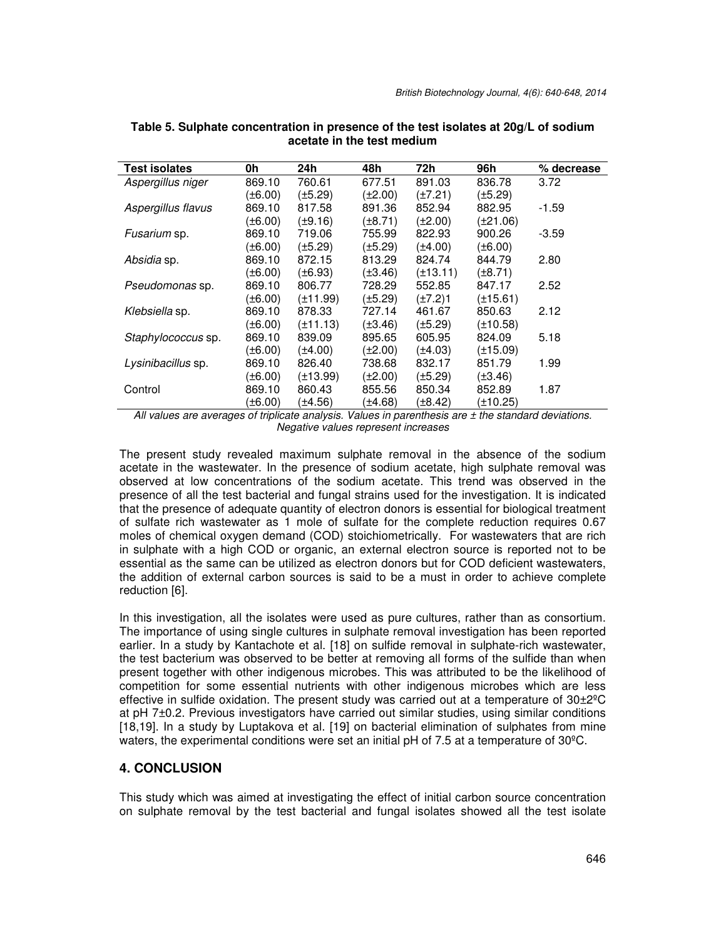| <b>Test isolates</b> | 0h           | 24h           | 48h          | 72h           | 96h           | % decrease |
|----------------------|--------------|---------------|--------------|---------------|---------------|------------|
| Aspergillus niger    | 869.10       | 760.61        | 677.51       | 891.03        | 836.78        | 3.72       |
|                      | (±6.00)      | (±5.29)       | (±2.00)      | $(\pm 7.21)$  | $(\pm 5.29)$  |            |
| Aspergillus flavus   | 869.10       | 817.58        | 891.36       | 852.94        | 882.95        | $-1.59$    |
|                      | (±6.00)      | (±9.16)       | (±8.71)      | (±2.00)       | $(\pm 21.06)$ |            |
| Fusarium sp.         | 869.10       | 719.06        | 755.99       | 822.93        | 900.26        | $-3.59$    |
|                      | (±6.00)      | (±5.29)       | (±5.29)      | (±4.00)       | $(\pm 6.00)$  |            |
| Absidia sp.          | 869.10       | 872.15        | 813.29       | 824.74        | 844.79        | 2.80       |
|                      | (±6.00)      | (±6.93)       | $(\pm 3.46)$ | $(\pm 13.11)$ | $(\pm 8.71)$  |            |
| Pseudomonas sp.      | 869.10       | 806.77        | 728.29       | 552.85        | 847.17        | 2.52       |
|                      | (±6.00)      | $(\pm 11.99)$ | $(\pm 5.29)$ | (±7.2)1       | $(\pm 15.61)$ |            |
| Klebsiella sp.       | 869.10       | 878.33        | 727.14       | 461.67        | 850.63        | 2.12       |
|                      | (±6.00)      | (±11.13)      | $(\pm 3.46)$ | (±5.29)       | $(\pm 10.58)$ |            |
| Staphylococcus sp.   | 869.10       | 839.09        | 895.65       | 605.95        | 824.09        | 5.18       |
|                      | (±6.00)      | (±4.00)       | (±2.00)      | (±4.03)       | $(\pm 15.09)$ |            |
| Lysinibacillus sp.   | 869.10       | 826.40        | 738.68       | 832.17        | 851.79        | 1.99       |
|                      | (±6.00)      | (±13.99)      | $(\pm 2.00)$ | (±5.29)       | $(\pm 3.46)$  |            |
| Control              | 869.10       | 860.43        | 855.56       | 850.34        | 852.89        | 1.87       |
|                      | $(\pm 6.00)$ | (±4.56)       | (±4.68)      | (±8.42)       | $(\pm 10.25)$ |            |

**Table 5. Sulphate concentration in presence of the test isolates at 20g/L of sodium acetate in the test medium** 

*All values are averages of triplicate analysis. Values in parenthesis are ± the standard deviations. Negative values represent increases* 

The present study revealed maximum sulphate removal in the absence of the sodium acetate in the wastewater. In the presence of sodium acetate, high sulphate removal was observed at low concentrations of the sodium acetate. This trend was observed in the presence of all the test bacterial and fungal strains used for the investigation. It is indicated that the presence of adequate quantity of electron donors is essential for biological treatment of sulfate rich wastewater as 1 mole of sulfate for the complete reduction requires 0.67 moles of chemical oxygen demand (COD) stoichiometrically. For wastewaters that are rich in sulphate with a high COD or organic, an external electron source is reported not to be essential as the same can be utilized as electron donors but for COD deficient wastewaters, the addition of external carbon sources is said to be a must in order to achieve complete reduction [6].

In this investigation, all the isolates were used as pure cultures, rather than as consortium. The importance of using single cultures in sulphate removal investigation has been reported earlier. In a study by Kantachote et al. [18] on sulfide removal in sulphate-rich wastewater, the test bacterium was observed to be better at removing all forms of the sulfide than when present together with other indigenous microbes. This was attributed to be the likelihood of competition for some essential nutrients with other indigenous microbes which are less effective in sulfide oxidation. The present study was carried out at a temperature of 30±2ºC at pH 7±0.2. Previous investigators have carried out similar studies, using similar conditions [18,19]. In a study by Luptakova et al. [19] on bacterial elimination of sulphates from mine waters, the experimental conditions were set an initial pH of 7.5 at a temperature of 30°C.

## **4. CONCLUSION**

This study which was aimed at investigating the effect of initial carbon source concentration on sulphate removal by the test bacterial and fungal isolates showed all the test isolate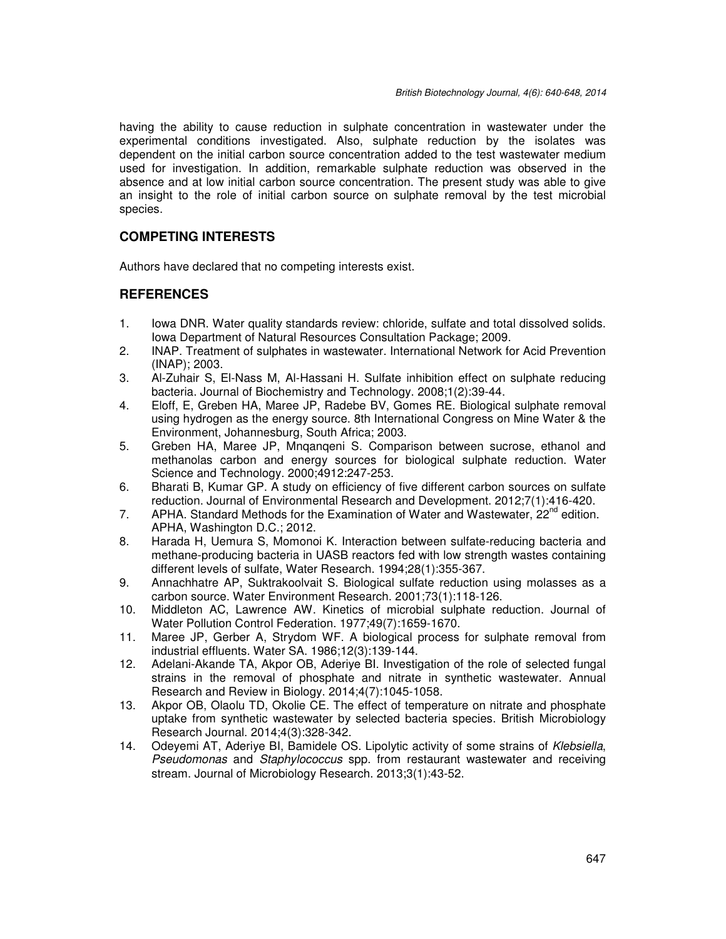having the ability to cause reduction in sulphate concentration in wastewater under the experimental conditions investigated. Also, sulphate reduction by the isolates was dependent on the initial carbon source concentration added to the test wastewater medium used for investigation. In addition, remarkable sulphate reduction was observed in the absence and at low initial carbon source concentration. The present study was able to give an insight to the role of initial carbon source on sulphate removal by the test microbial species.

# **COMPETING INTERESTS**

Authors have declared that no competing interests exist.

## **REFERENCES**

- 1. Iowa DNR. Water quality standards review: chloride, sulfate and total dissolved solids. Iowa Department of Natural Resources Consultation Package; 2009.
- 2. INAP. Treatment of sulphates in wastewater. International Network for Acid Prevention (INAP); 2003.
- 3. Al-Zuhair S, El-Nass M, Al-Hassani H. Sulfate inhibition effect on sulphate reducing bacteria. Journal of Biochemistry and Technology. 2008;1(2):39-44.
- 4. Eloff, E, Greben HA, Maree JP, Radebe BV, Gomes RE. Biological sulphate removal using hydrogen as the energy source. 8th International Congress on Mine Water & the Environment, Johannesburg, South Africa; 2003.
- 5. Greben HA, Maree JP, Mnqanqeni S. Comparison between sucrose, ethanol and methanolas carbon and energy sources for biological sulphate reduction. Water Science and Technology. 2000;4912:247-253.
- 6. Bharati B, Kumar GP. A study on efficiency of five different carbon sources on sulfate reduction. Journal of Environmental Research and Development. 2012;7(1):416-420.
- 7. APHA. Standard Methods for the Examination of Water and Wastewater,  $22^{nd}$  edition. APHA, Washington D.C.; 2012.
- 8. Harada H, Uemura S, Momonoi K. Interaction between sulfate-reducing bacteria and methane-producing bacteria in UASB reactors fed with low strength wastes containing different levels of sulfate, Water Research. 1994;28(1):355-367.
- 9. Annachhatre AP, Suktrakoolvait S. Biological sulfate reduction using molasses as a carbon source. Water Environment Research. 2001;73(1):118-126.
- 10. Middleton AC, Lawrence AW. Kinetics of microbial sulphate reduction. Journal of Water Pollution Control Federation. 1977;49(7):1659-1670.
- 11. Maree JP, Gerber A, Strydom WF. A biological process for sulphate removal from industrial effluents. Water SA. 1986;12(3):139-144.
- 12. Adelani-Akande TA, Akpor OB, Aderiye BI. Investigation of the role of selected fungal strains in the removal of phosphate and nitrate in synthetic wastewater. Annual Research and Review in Biology. 2014;4(7):1045-1058.
- 13. Akpor OB, Olaolu TD, Okolie CE. The effect of temperature on nitrate and phosphate uptake from synthetic wastewater by selected bacteria species. British Microbiology Research Journal. 2014;4(3):328-342.
- 14. Odeyemi AT, Aderiye BI, Bamidele OS. Lipolytic activity of some strains of *Klebsiella*, *Pseudomonas* and *Staphylococcus* spp. from restaurant wastewater and receiving stream. Journal of Microbiology Research. 2013;3(1):43-52.